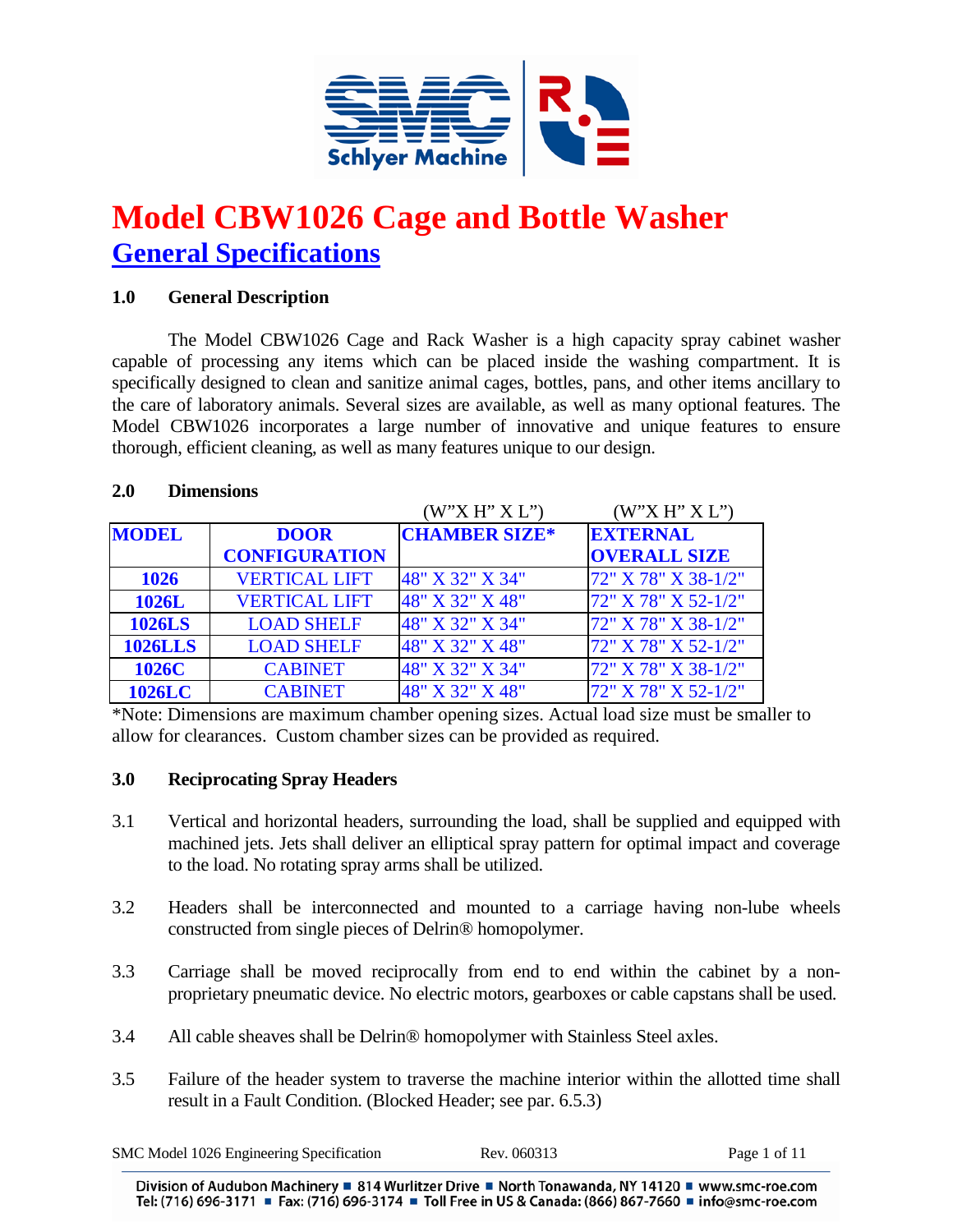

# **Model CBW1026 Cage and Bottle Washer General Specifications**

## **1.0 General Description**

The Model CBW1026 Cage and Rack Washer is a high capacity spray cabinet washer capable of processing any items which can be placed inside the washing compartment. It is specifically designed to clean and sanitize animal cages, bottles, pans, and other items ancillary to the care of laboratory animals. Several sizes are available, as well as many optional features. The Model CBW1026 incorporates a large number of innovative and unique features to ensure thorough, efficient cleaning, as well as many features unique to our design.

### **2.0 Dimensions**

|                |                      | (W'X H'' X L'')      | (W'X H'' X L'')     |
|----------------|----------------------|----------------------|---------------------|
| <b>MODEL</b>   | <b>DOOR</b>          | <b>CHAMBER SIZE*</b> | <b>EXTERNAL</b>     |
|                | <b>CONFIGURATION</b> |                      | <b>OVERALL SIZE</b> |
| <b>1026</b>    | <b>VERTICAL LIFT</b> | 48" X 32" X 34"      | 72" X 78" X 38-1/2" |
| 1026L          | <b>VERTICAL LIFT</b> | 48" X 32" X 48"      | 72" X 78" X 52-1/2" |
| <b>1026LS</b>  | <b>LOAD SHELF</b>    | 48" X 32" X 34"      | 72" X 78" X 38-1/2" |
| <b>1026LLS</b> | <b>LOAD SHELF</b>    | 48" X 32" X 48"      | 72" X 78" X 52-1/2" |
| 1026C          | <b>CABINET</b>       | 48" X 32" X 34"      | 72" X 78" X 38-1/2" |
| <b>1026LC</b>  | <b>CABINET</b>       | 48" X 32" X 48"      | 72" X 78" X 52-1/2" |

\*Note: Dimensions are maximum chamber opening sizes. Actual load size must be smaller to allow for clearances. Custom chamber sizes can be provided as required.

### **3.0 Reciprocating Spray Headers**

- 3.1 Vertical and horizontal headers, surrounding the load, shall be supplied and equipped with machined jets. Jets shall deliver an elliptical spray pattern for optimal impact and coverage to the load. No rotating spray arms shall be utilized.
- 3.2 Headers shall be interconnected and mounted to a carriage having non-lube wheels constructed from single pieces of Delrin® homopolymer.
- 3.3 Carriage shall be moved reciprocally from end to end within the cabinet by a nonproprietary pneumatic device. No electric motors, gearboxes or cable capstans shall be used.
- 3.4 All cable sheaves shall be Delrin® homopolymer with Stainless Steel axles.
- 3.5 Failure of the header system to traverse the machine interior within the allotted time shall result in a Fault Condition. (Blocked Header; see par. 6.5.3)

| SMC Model 1026 Engineering Specification | Rev. 060313 | Page 1 of 11 |
|------------------------------------------|-------------|--------------|
|                                          |             |              |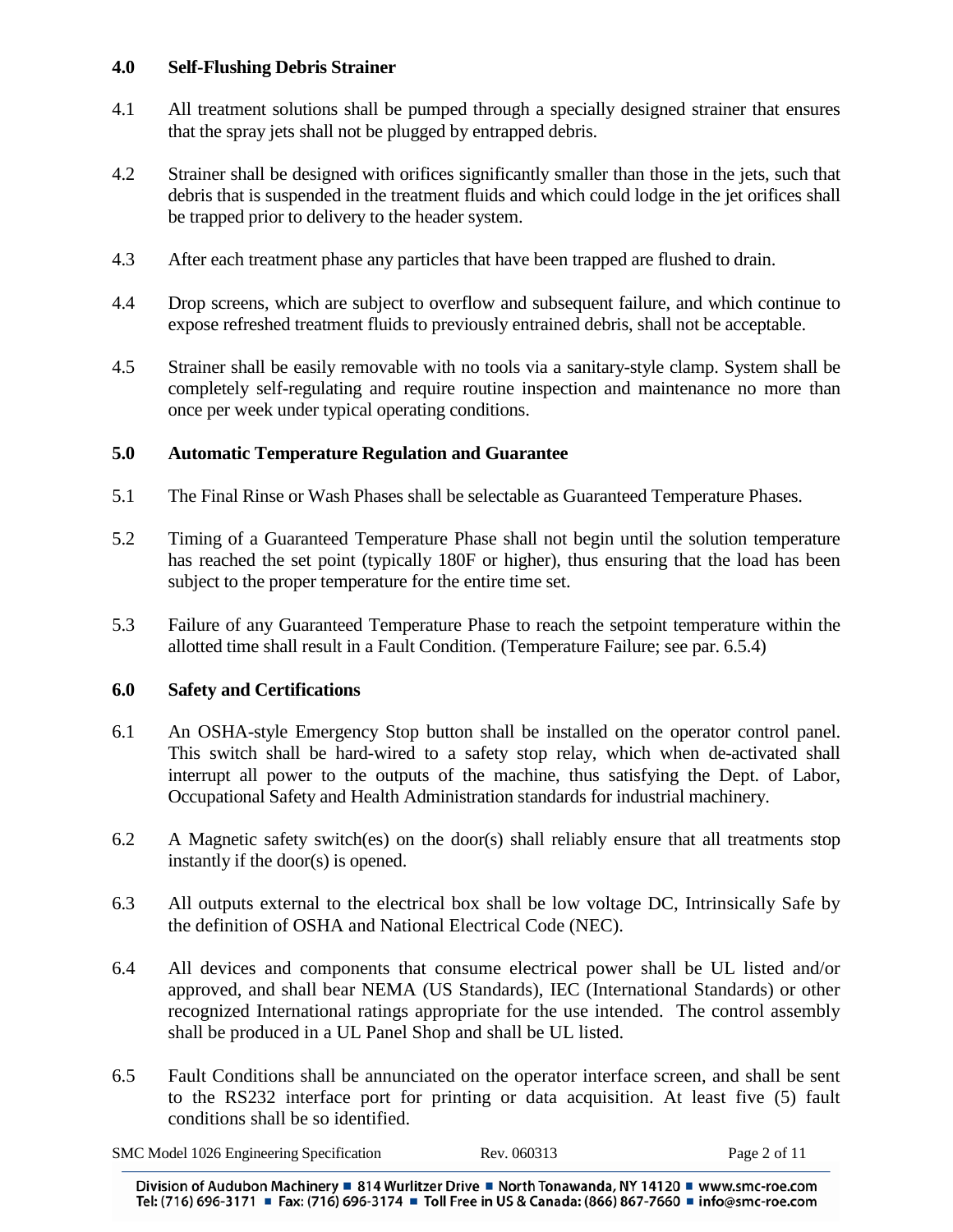#### **4.0 Self-Flushing Debris Strainer**

- 4.1 All treatment solutions shall be pumped through a specially designed strainer that ensures that the spray jets shall not be plugged by entrapped debris.
- 4.2 Strainer shall be designed with orifices significantly smaller than those in the jets, such that debris that is suspended in the treatment fluids and which could lodge in the jet orifices shall be trapped prior to delivery to the header system.
- 4.3 After each treatment phase any particles that have been trapped are flushed to drain.
- 4.4 Drop screens, which are subject to overflow and subsequent failure, and which continue to expose refreshed treatment fluids to previously entrained debris, shall not be acceptable.
- 4.5 Strainer shall be easily removable with no tools via a sanitary-style clamp. System shall be completely self-regulating and require routine inspection and maintenance no more than once per week under typical operating conditions.

## **5.0 Automatic Temperature Regulation and Guarantee**

- 5.1 The Final Rinse or Wash Phases shall be selectable as Guaranteed Temperature Phases.
- 5.2 Timing of a Guaranteed Temperature Phase shall not begin until the solution temperature has reached the set point (typically 180F or higher), thus ensuring that the load has been subject to the proper temperature for the entire time set.
- 5.3 Failure of any Guaranteed Temperature Phase to reach the setpoint temperature within the allotted time shall result in a Fault Condition. (Temperature Failure; see par. 6.5.4)

### **6.0 Safety and Certifications**

- 6.1 An OSHA-style Emergency Stop button shall be installed on the operator control panel. This switch shall be hard-wired to a safety stop relay, which when de-activated shall interrupt all power to the outputs of the machine, thus satisfying the Dept. of Labor, Occupational Safety and Health Administration standards for industrial machinery.
- 6.2 A Magnetic safety switch(es) on the door(s) shall reliably ensure that all treatments stop instantly if the door(s) is opened.
- 6.3 All outputs external to the electrical box shall be low voltage DC, Intrinsically Safe by the definition of OSHA and National Electrical Code (NEC).
- 6.4 All devices and components that consume electrical power shall be UL listed and/or approved, and shall bear NEMA (US Standards), IEC (International Standards) or other recognized International ratings appropriate for the use intended. The control assembly shall be produced in a UL Panel Shop and shall be UL listed.
- 6.5 Fault Conditions shall be annunciated on the operator interface screen, and shall be sent to the RS232 interface port for printing or data acquisition. At least five (5) fault conditions shall be so identified.

| SMC Model 1026 Engineering Specification | Rev. 060313 | Page 2 of 11 |
|------------------------------------------|-------------|--------------|
|------------------------------------------|-------------|--------------|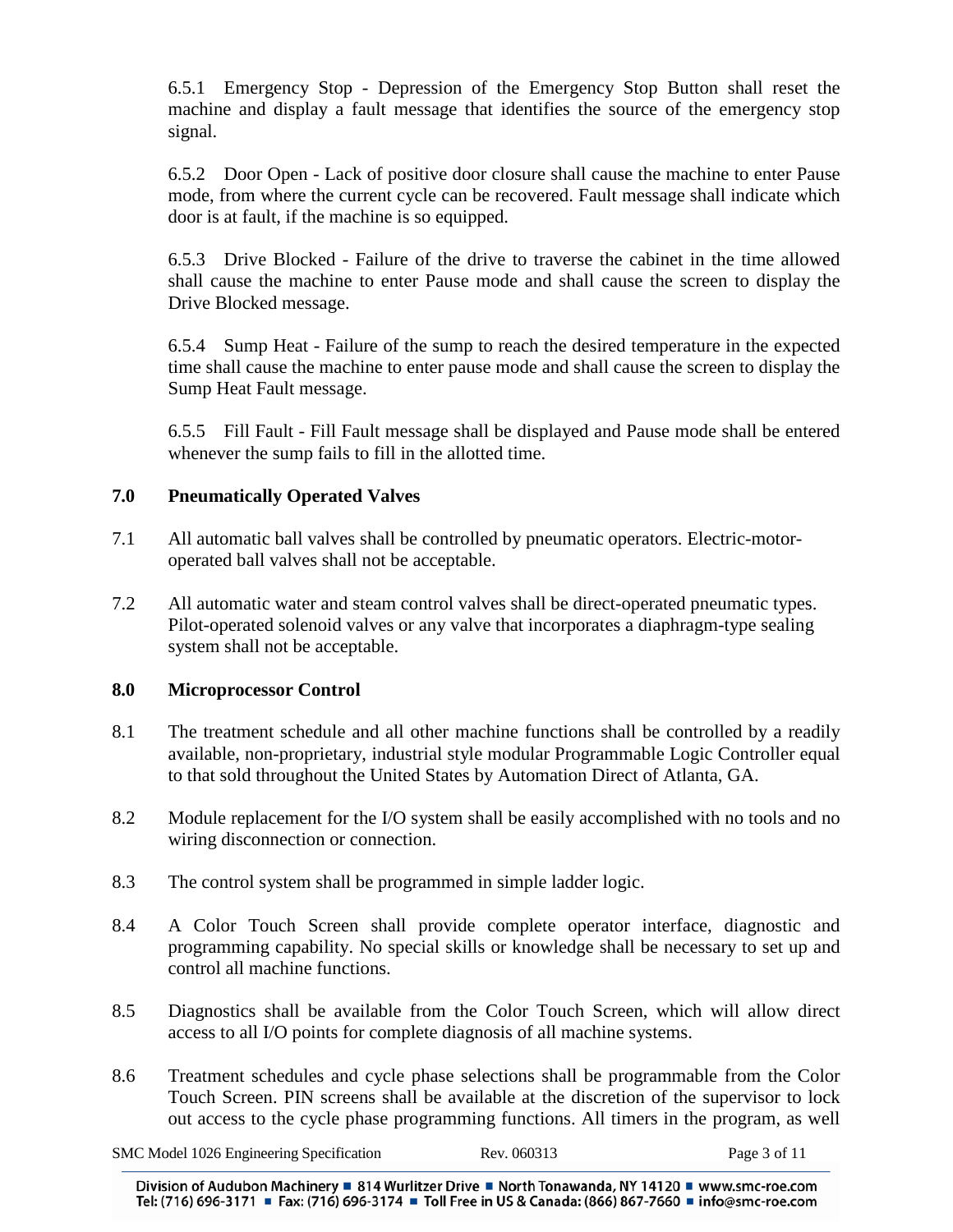6.5.1 Emergency Stop - Depression of the Emergency Stop Button shall reset the machine and display a fault message that identifies the source of the emergency stop signal.

6.5.2 Door Open - Lack of positive door closure shall cause the machine to enter Pause mode, from where the current cycle can be recovered. Fault message shall indicate which door is at fault, if the machine is so equipped.

6.5.3 Drive Blocked - Failure of the drive to traverse the cabinet in the time allowed shall cause the machine to enter Pause mode and shall cause the screen to display the Drive Blocked message.

6.5.4 Sump Heat - Failure of the sump to reach the desired temperature in the expected time shall cause the machine to enter pause mode and shall cause the screen to display the Sump Heat Fault message.

6.5.5 Fill Fault - Fill Fault message shall be displayed and Pause mode shall be entered whenever the sump fails to fill in the allotted time.

### **7.0 Pneumatically Operated Valves**

- 7.1 All automatic ball valves shall be controlled by pneumatic operators. Electric-motoroperated ball valves shall not be acceptable.
- 7.2 All automatic water and steam control valves shall be direct-operated pneumatic types. Pilot-operated solenoid valves or any valve that incorporates a diaphragm-type sealing system shall not be acceptable.

### **8.0 Microprocessor Control**

- 8.1 The treatment schedule and all other machine functions shall be controlled by a readily available, non-proprietary, industrial style modular Programmable Logic Controller equal to that sold throughout the United States by Automation Direct of Atlanta, GA.
- 8.2 Module replacement for the I/O system shall be easily accomplished with no tools and no wiring disconnection or connection.
- 8.3 The control system shall be programmed in simple ladder logic.
- 8.4 A Color Touch Screen shall provide complete operator interface, diagnostic and programming capability. No special skills or knowledge shall be necessary to set up and control all machine functions.
- 8.5 Diagnostics shall be available from the Color Touch Screen, which will allow direct access to all I/O points for complete diagnosis of all machine systems.
- 8.6 Treatment schedules and cycle phase selections shall be programmable from the Color Touch Screen. PIN screens shall be available at the discretion of the supervisor to lock out access to the cycle phase programming functions. All timers in the program, as well

SMC Model 1026 Engineering Specification Rev. 060313 Page 3 of 11

Division of Audubon Machinery ■ 814 Wurlitzer Drive ■ North Tonawanda, NY 14120 ■ www.smc-roe.com Tel: (716) 696-3171 = Fax: (716) 696-3174 = Toll Free in US & Canada: (866) 867-7660 = info@smc-roe.com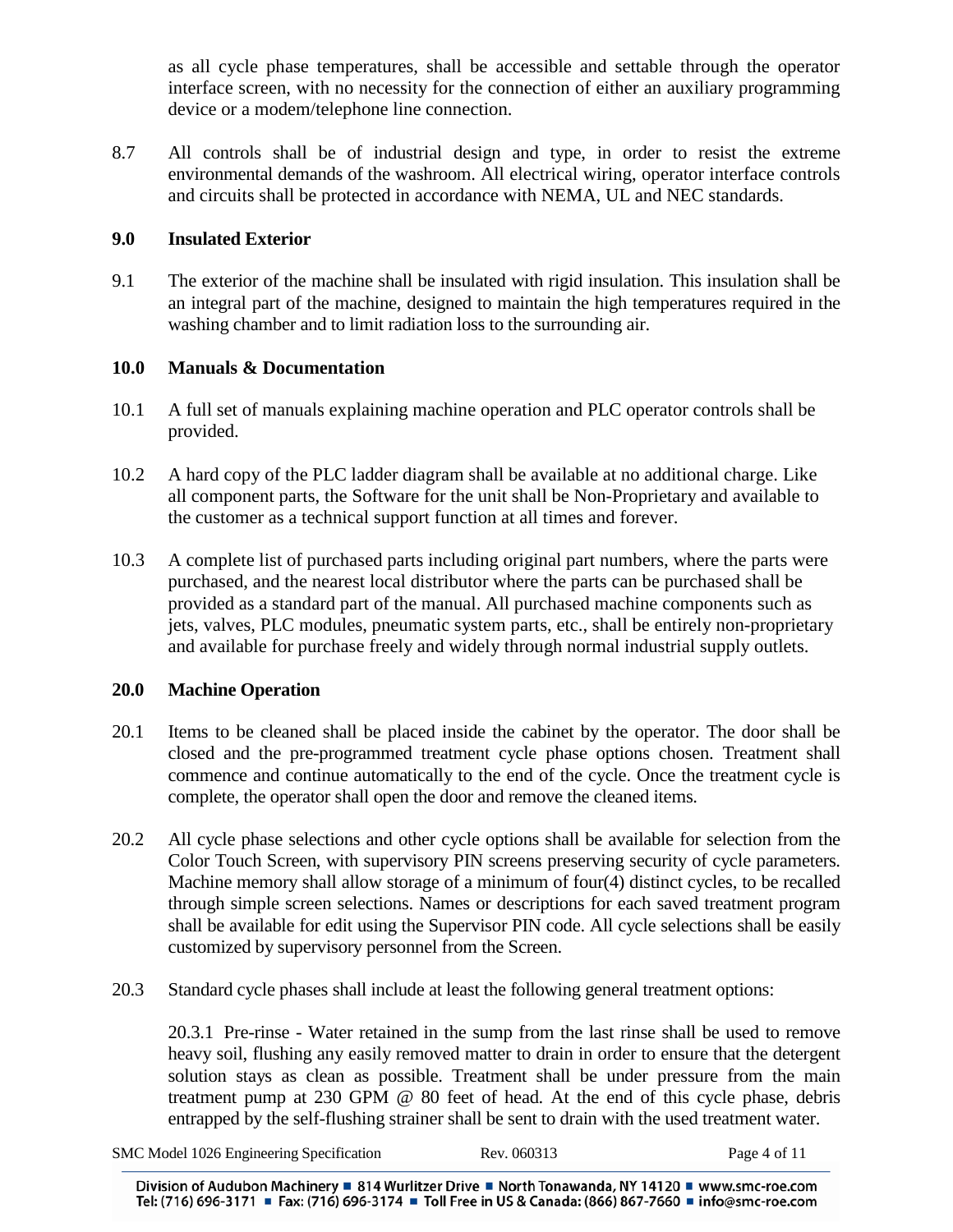as all cycle phase temperatures, shall be accessible and settable through the operator interface screen, with no necessity for the connection of either an auxiliary programming device or a modem/telephone line connection.

8.7 All controls shall be of industrial design and type, in order to resist the extreme environmental demands of the washroom. All electrical wiring, operator interface controls and circuits shall be protected in accordance with NEMA, UL and NEC standards.

## **9.0 Insulated Exterior**

9.1 The exterior of the machine shall be insulated with rigid insulation. This insulation shall be an integral part of the machine, designed to maintain the high temperatures required in the washing chamber and to limit radiation loss to the surrounding air.

# **10.0 Manuals & Documentation**

- 10.1 A full set of manuals explaining machine operation and PLC operator controls shall be provided.
- 10.2 A hard copy of the PLC ladder diagram shall be available at no additional charge. Like all component parts, the Software for the unit shall be Non-Proprietary and available to the customer as a technical support function at all times and forever.
- 10.3 A complete list of purchased parts including original part numbers, where the parts were purchased, and the nearest local distributor where the parts can be purchased shall be provided as a standard part of the manual. All purchased machine components such as jets, valves, PLC modules, pneumatic system parts, etc., shall be entirely non-proprietary and available for purchase freely and widely through normal industrial supply outlets.

# **20.0 Machine Operation**

- 20.1 Items to be cleaned shall be placed inside the cabinet by the operator. The door shall be closed and the pre-programmed treatment cycle phase options chosen. Treatment shall commence and continue automatically to the end of the cycle. Once the treatment cycle is complete, the operator shall open the door and remove the cleaned items.
- 20.2 All cycle phase selections and other cycle options shall be available for selection from the Color Touch Screen, with supervisory PIN screens preserving security of cycle parameters. Machine memory shall allow storage of a minimum of four(4) distinct cycles, to be recalled through simple screen selections. Names or descriptions for each saved treatment program shall be available for edit using the Supervisor PIN code. All cycle selections shall be easily customized by supervisory personnel from the Screen.
- 20.3 Standard cycle phases shall include at least the following general treatment options:

20.3.1 Pre-rinse - Water retained in the sump from the last rinse shall be used to remove heavy soil, flushing any easily removed matter to drain in order to ensure that the detergent solution stays as clean as possible. Treatment shall be under pressure from the main treatment pump at 230 GPM @ 80 feet of head. At the end of this cycle phase, debris entrapped by the self-flushing strainer shall be sent to drain with the used treatment water.

|  | SMC Model 1026 Engineering Specification | Rev. 060313 | Page 4 of 11 |
|--|------------------------------------------|-------------|--------------|
|--|------------------------------------------|-------------|--------------|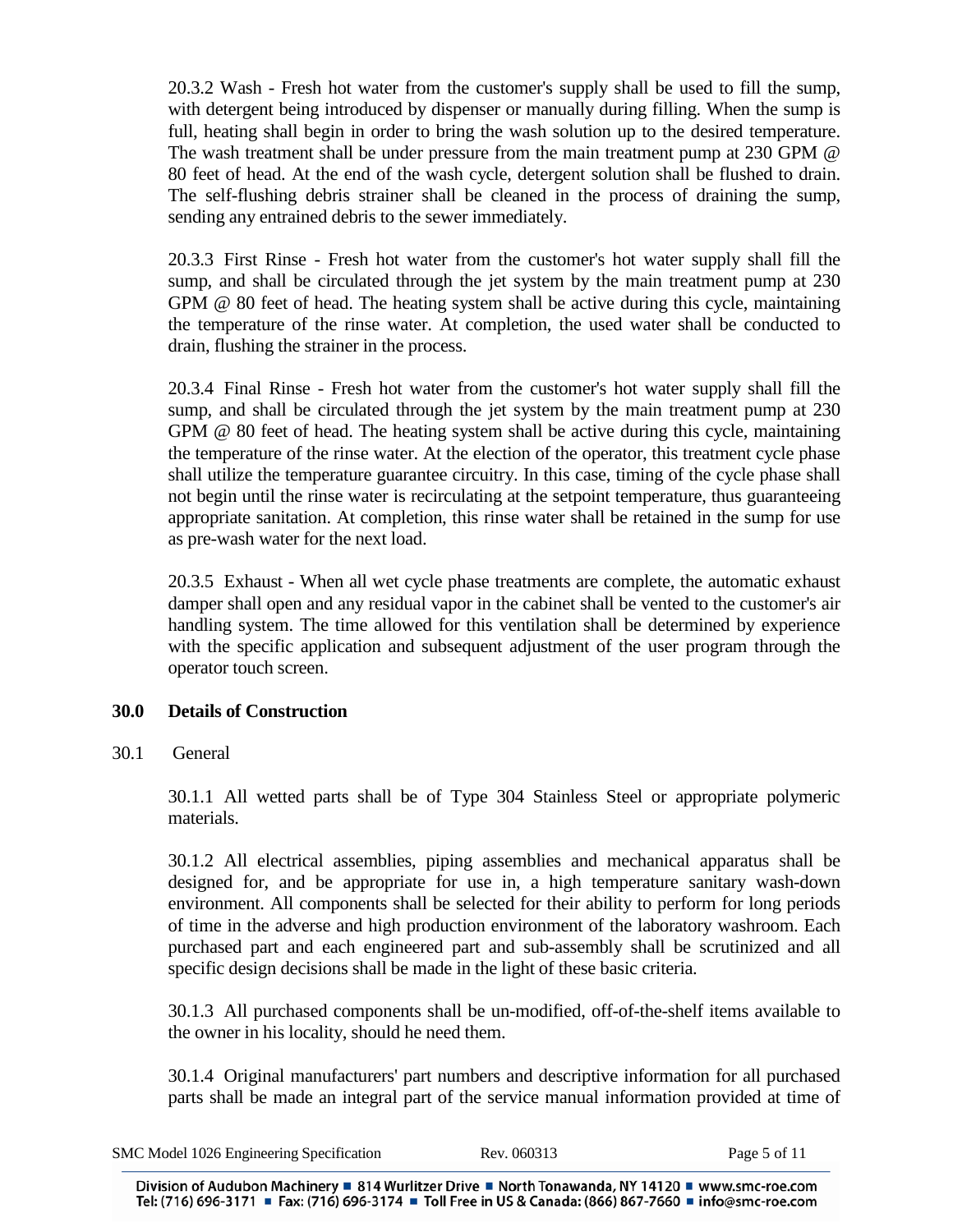20.3.2 Wash - Fresh hot water from the customer's supply shall be used to fill the sump, with detergent being introduced by dispenser or manually during filling. When the sump is full, heating shall begin in order to bring the wash solution up to the desired temperature. The wash treatment shall be under pressure from the main treatment pump at 230 GPM @ 80 feet of head. At the end of the wash cycle, detergent solution shall be flushed to drain. The self-flushing debris strainer shall be cleaned in the process of draining the sump, sending any entrained debris to the sewer immediately.

20.3.3 First Rinse - Fresh hot water from the customer's hot water supply shall fill the sump, and shall be circulated through the jet system by the main treatment pump at 230 GPM @ 80 feet of head. The heating system shall be active during this cycle, maintaining the temperature of the rinse water. At completion, the used water shall be conducted to drain, flushing the strainer in the process.

20.3.4 Final Rinse - Fresh hot water from the customer's hot water supply shall fill the sump, and shall be circulated through the jet system by the main treatment pump at 230 GPM @ 80 feet of head. The heating system shall be active during this cycle, maintaining the temperature of the rinse water. At the election of the operator, this treatment cycle phase shall utilize the temperature guarantee circuitry. In this case, timing of the cycle phase shall not begin until the rinse water is recirculating at the setpoint temperature, thus guaranteeing appropriate sanitation. At completion, this rinse water shall be retained in the sump for use as pre-wash water for the next load.

20.3.5 Exhaust - When all wet cycle phase treatments are complete, the automatic exhaust damper shall open and any residual vapor in the cabinet shall be vented to the customer's air handling system. The time allowed for this ventilation shall be determined by experience with the specific application and subsequent adjustment of the user program through the operator touch screen.

### **30.0 Details of Construction**

30.1 General

30.1.1 All wetted parts shall be of Type 304 Stainless Steel or appropriate polymeric materials.

30.1.2 All electrical assemblies, piping assemblies and mechanical apparatus shall be designed for, and be appropriate for use in, a high temperature sanitary wash-down environment. All components shall be selected for their ability to perform for long periods of time in the adverse and high production environment of the laboratory washroom. Each purchased part and each engineered part and sub-assembly shall be scrutinized and all specific design decisions shall be made in the light of these basic criteria.

30.1.3 All purchased components shall be un-modified, off-of-the-shelf items available to the owner in his locality, should he need them.

30.1.4 Original manufacturers' part numbers and descriptive information for all purchased parts shall be made an integral part of the service manual information provided at time of

|  |  | SMC Model 1026 Engineering Specification |                                                                                                                 | Rev. 060313 | Page 5 of 1 |
|--|--|------------------------------------------|-----------------------------------------------------------------------------------------------------------------|-------------|-------------|
|  |  |                                          | the contract of the contract of the contract of the contract of the contract of the contract of the contract of |             |             |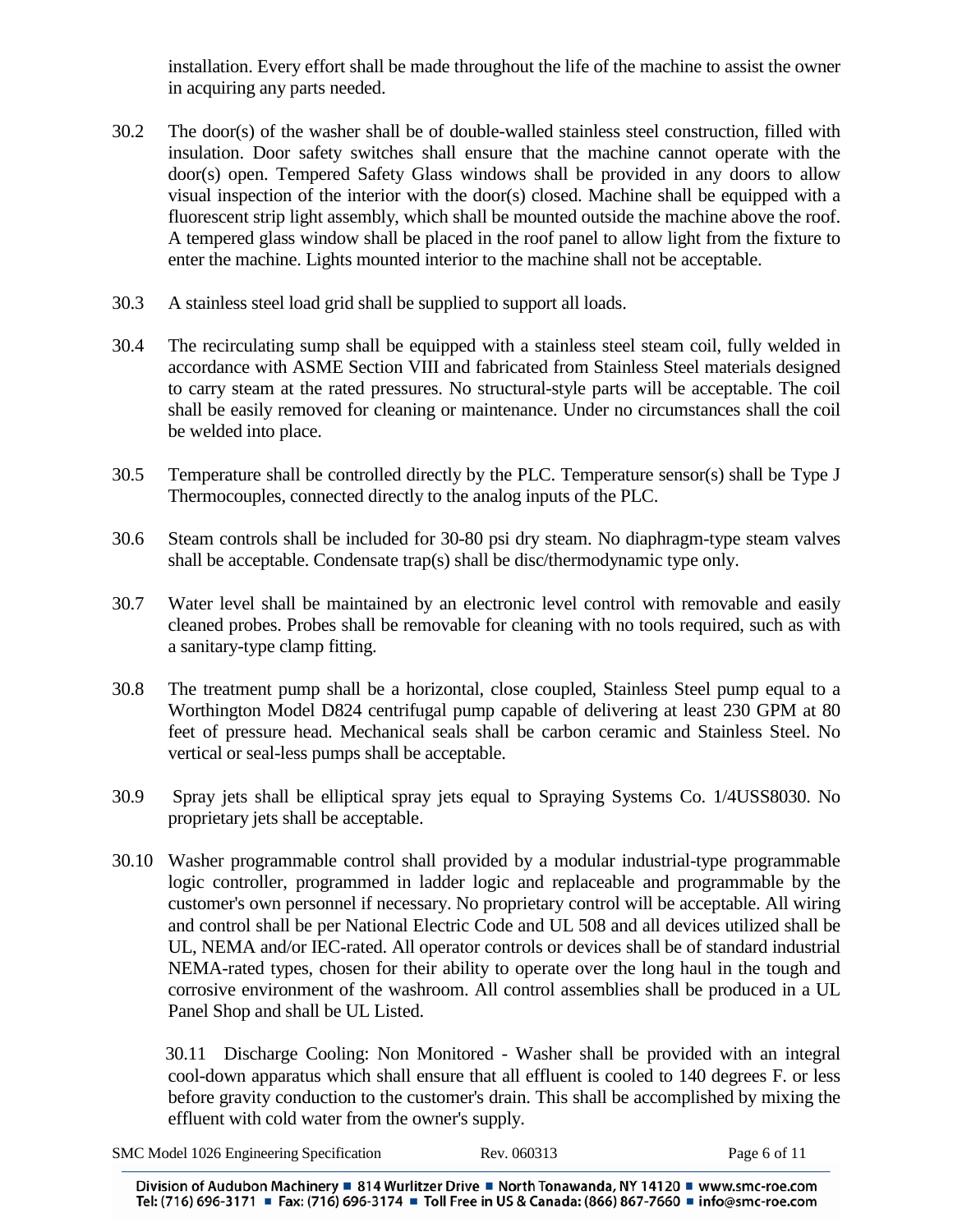installation. Every effort shall be made throughout the life of the machine to assist the owner in acquiring any parts needed.

- 30.2 The door(s) of the washer shall be of double-walled stainless steel construction, filled with insulation. Door safety switches shall ensure that the machine cannot operate with the door(s) open. Tempered Safety Glass windows shall be provided in any doors to allow visual inspection of the interior with the door(s) closed. Machine shall be equipped with a fluorescent strip light assembly, which shall be mounted outside the machine above the roof. A tempered glass window shall be placed in the roof panel to allow light from the fixture to enter the machine. Lights mounted interior to the machine shall not be acceptable.
- 30.3 A stainless steel load grid shall be supplied to support all loads.
- 30.4 The recirculating sump shall be equipped with a stainless steel steam coil, fully welded in accordance with ASME Section VIII and fabricated from Stainless Steel materials designed to carry steam at the rated pressures. No structural-style parts will be acceptable. The coil shall be easily removed for cleaning or maintenance. Under no circumstances shall the coil be welded into place.
- 30.5 Temperature shall be controlled directly by the PLC. Temperature sensor(s) shall be Type J Thermocouples, connected directly to the analog inputs of the PLC.
- 30.6 Steam controls shall be included for 30-80 psi dry steam. No diaphragm-type steam valves shall be acceptable. Condensate trap(s) shall be disc/thermodynamic type only.
- 30.7 Water level shall be maintained by an electronic level control with removable and easily cleaned probes. Probes shall be removable for cleaning with no tools required, such as with a sanitary-type clamp fitting.
- 30.8 The treatment pump shall be a horizontal, close coupled, Stainless Steel pump equal to a Worthington Model D824 centrifugal pump capable of delivering at least 230 GPM at 80 feet of pressure head. Mechanical seals shall be carbon ceramic and Stainless Steel. No vertical or seal-less pumps shall be acceptable.
- 30.9 Spray jets shall be elliptical spray jets equal to Spraying Systems Co. 1/4USS8030. No proprietary jets shall be acceptable.
- 30.10 Washer programmable control shall provided by a modular industrial-type programmable logic controller, programmed in ladder logic and replaceable and programmable by the customer's own personnel if necessary. No proprietary control will be acceptable. All wiring and control shall be per National Electric Code and UL 508 and all devices utilized shall be UL, NEMA and/or IEC-rated. All operator controls or devices shall be of standard industrial NEMA-rated types, chosen for their ability to operate over the long haul in the tough and corrosive environment of the washroom. All control assemblies shall be produced in a UL Panel Shop and shall be UL Listed.

 30.11 Discharge Cooling: Non Monitored - Washer shall be provided with an integral cool-down apparatus which shall ensure that all effluent is cooled to 140 degrees F. or less before gravity conduction to the customer's drain. This shall be accomplished by mixing the effluent with cold water from the owner's supply.

| SMC Model 1026 Engineering Specification | Rev. 060313 | Page 6 of 11 |
|------------------------------------------|-------------|--------------|
|                                          |             |              |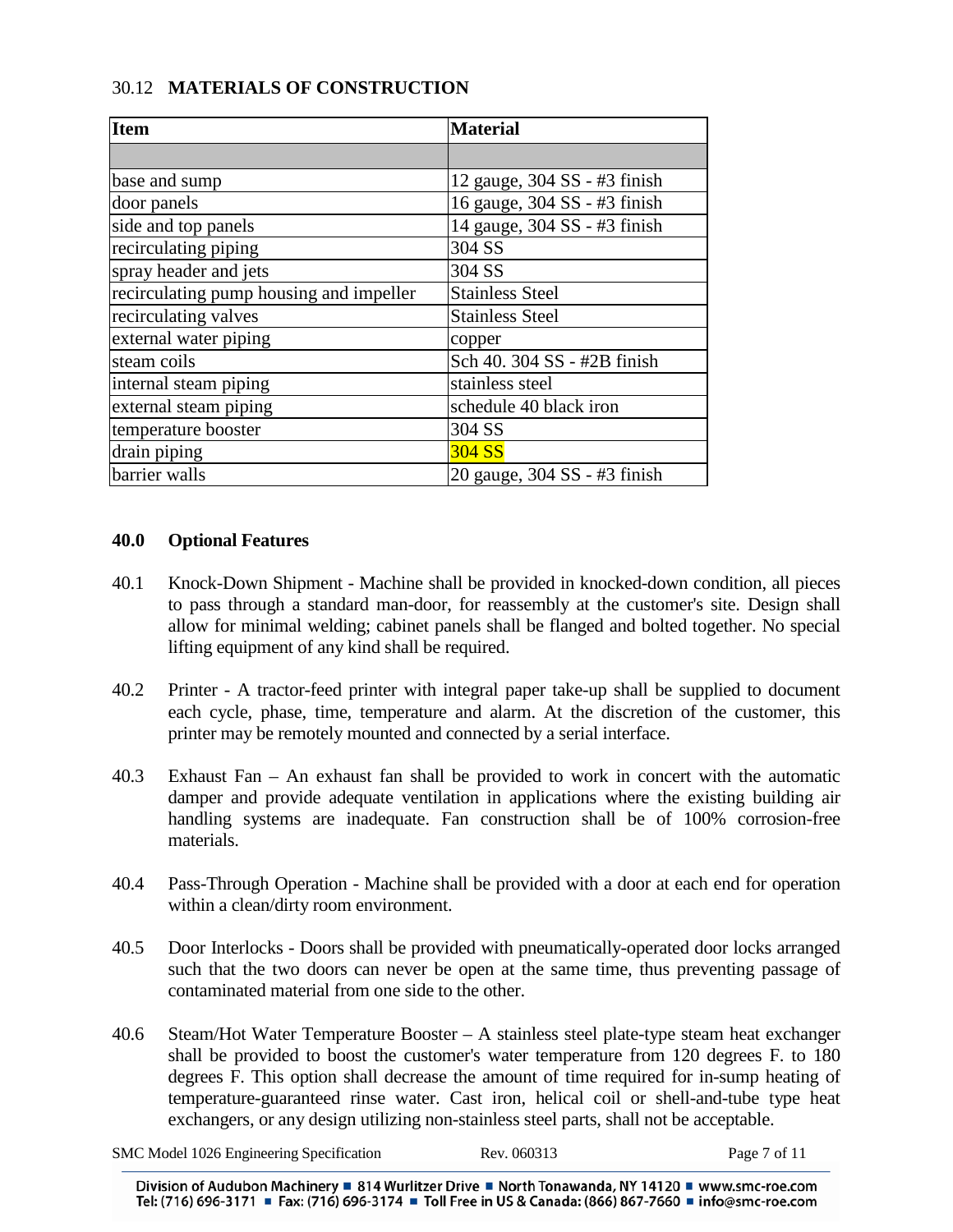# 30.12 **MATERIALS OF CONSTRUCTION**

| <b>Item</b>                             | <b>Material</b>              |
|-----------------------------------------|------------------------------|
|                                         |                              |
| base and sump                           | 12 gauge, 304 SS - #3 finish |
| door panels                             | 16 gauge, 304 SS - #3 finish |
| side and top panels                     | 14 gauge, 304 SS - #3 finish |
| recirculating piping                    | 304 SS                       |
| spray header and jets                   | 304 SS                       |
| recirculating pump housing and impeller | <b>Stainless Steel</b>       |
| recirculating valves                    | <b>Stainless Steel</b>       |
| external water piping                   | copper                       |
| steam coils                             | Sch 40. 304 SS - #2B finish  |
| internal steam piping                   | stainless steel              |
| external steam piping                   | schedule 40 black iron       |
| temperature booster                     | 304 SS                       |
| drain piping                            | 304 SS                       |
| barrier walls                           | 20 gauge, 304 SS - #3 finish |

#### **40.0 Optional Features**

- 40.1 Knock-Down Shipment Machine shall be provided in knocked-down condition, all pieces to pass through a standard man-door, for reassembly at the customer's site. Design shall allow for minimal welding; cabinet panels shall be flanged and bolted together. No special lifting equipment of any kind shall be required.
- 40.2 Printer A tractor-feed printer with integral paper take-up shall be supplied to document each cycle, phase, time, temperature and alarm. At the discretion of the customer, this printer may be remotely mounted and connected by a serial interface.
- 40.3 Exhaust Fan An exhaust fan shall be provided to work in concert with the automatic damper and provide adequate ventilation in applications where the existing building air handling systems are inadequate. Fan construction shall be of 100% corrosion-free materials.
- 40.4 Pass-Through Operation Machine shall be provided with a door at each end for operation within a clean/dirty room environment.
- 40.5 Door Interlocks Doors shall be provided with pneumatically-operated door locks arranged such that the two doors can never be open at the same time, thus preventing passage of contaminated material from one side to the other.
- 40.6 Steam/Hot Water Temperature Booster A stainless steel plate-type steam heat exchanger shall be provided to boost the customer's water temperature from 120 degrees F. to 180 degrees F. This option shall decrease the amount of time required for in-sump heating of temperature-guaranteed rinse water. Cast iron, helical coil or shell-and-tube type heat exchangers, or any design utilizing non-stainless steel parts, shall not be acceptable.

| SMC Model 1026 Engineering Specification |  | Rev. 060313 | Page 7 of 11 |
|------------------------------------------|--|-------------|--------------|
|------------------------------------------|--|-------------|--------------|

Division of Audubon Machinery ■ 814 Wurlitzer Drive ■ North Tonawanda, NY 14120 ■ www.smc-roe.com Tel: (716) 696-3171 ■ Fax: (716) 696-3174 ■ Toll Free in US & Canada: (866) 867-7660 ■ info@smc-roe.com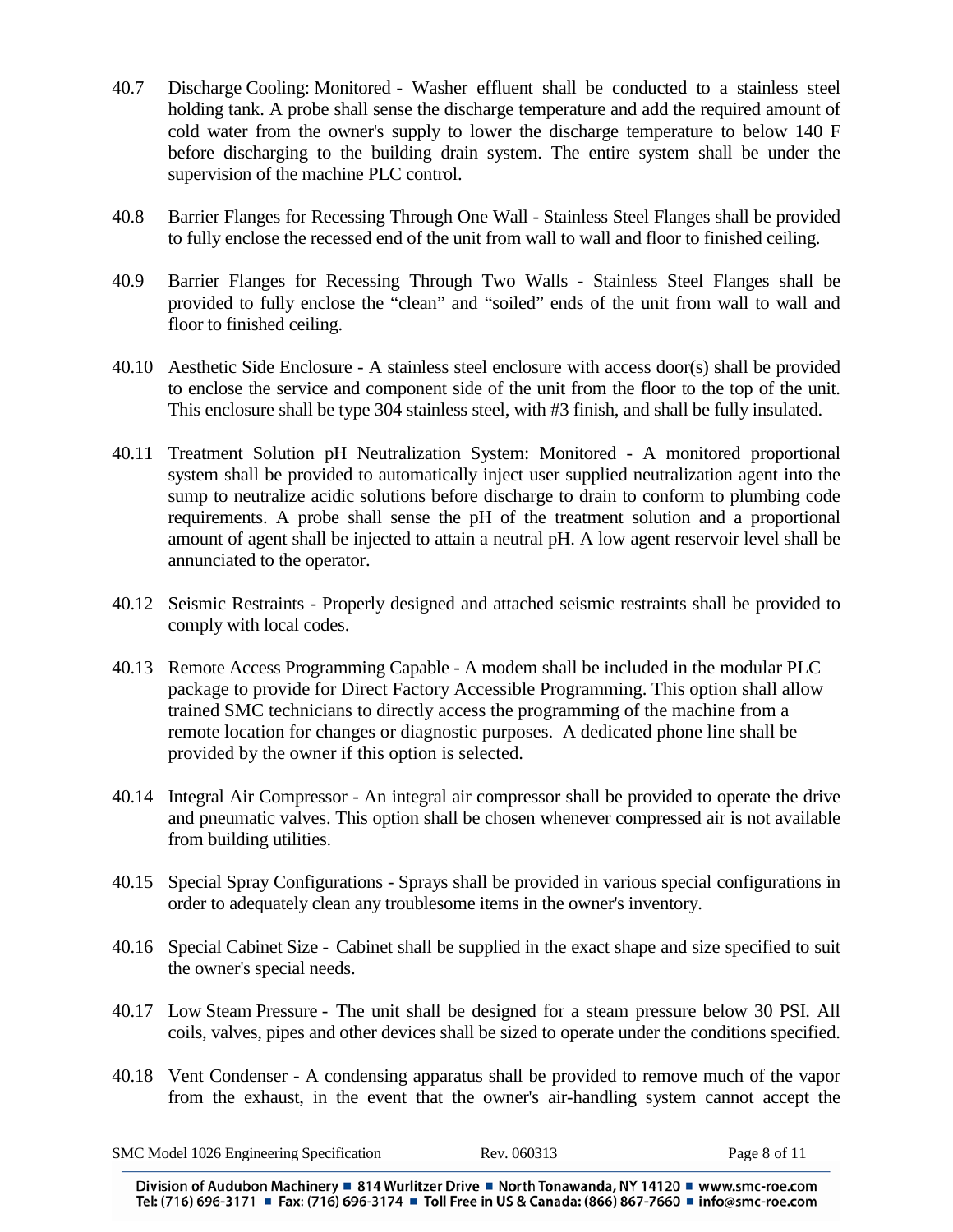- 40.7 Discharge Cooling: Monitored Washer effluent shall be conducted to a stainless steel holding tank. A probe shall sense the discharge temperature and add the required amount of cold water from the owner's supply to lower the discharge temperature to below 140 F before discharging to the building drain system. The entire system shall be under the supervision of the machine PLC control.
- 40.8 Barrier Flanges for Recessing Through One Wall Stainless Steel Flanges shall be provided to fully enclose the recessed end of the unit from wall to wall and floor to finished ceiling.
- 40.9 Barrier Flanges for Recessing Through Two Walls Stainless Steel Flanges shall be provided to fully enclose the "clean" and "soiled" ends of the unit from wall to wall and floor to finished ceiling.
- 40.10 Aesthetic Side Enclosure A stainless steel enclosure with access door(s) shall be provided to enclose the service and component side of the unit from the floor to the top of the unit. This enclosure shall be type 304 stainless steel, with #3 finish, and shall be fully insulated.
- 40.11 Treatment Solution pH Neutralization System: Monitored A monitored proportional system shall be provided to automatically inject user supplied neutralization agent into the sump to neutralize acidic solutions before discharge to drain to conform to plumbing code requirements. A probe shall sense the pH of the treatment solution and a proportional amount of agent shall be injected to attain a neutral pH. A low agent reservoir level shall be annunciated to the operator.
- 40.12 Seismic Restraints Properly designed and attached seismic restraints shall be provided to comply with local codes.
- 40.13 Remote Access Programming Capable A modem shall be included in the modular PLC package to provide for Direct Factory Accessible Programming. This option shall allow trained SMC technicians to directly access the programming of the machine from a remote location for changes or diagnostic purposes. A dedicated phone line shall be provided by the owner if this option is selected.
- 40.14 Integral Air Compressor An integral air compressor shall be provided to operate the drive and pneumatic valves. This option shall be chosen whenever compressed air is not available from building utilities.
- 40.15 Special Spray Configurations Sprays shall be provided in various special configurations in order to adequately clean any troublesome items in the owner's inventory.
- 40.16 Special Cabinet Size Cabinet shall be supplied in the exact shape and size specified to suit the owner's special needs.
- 40.17 Low Steam Pressure The unit shall be designed for a steam pressure below 30 PSI. All coils, valves, pipes and other devices shall be sized to operate under the conditions specified.
- 40.18 Vent Condenser A condensing apparatus shall be provided to remove much of the vapor from the exhaust, in the event that the owner's air-handling system cannot accept the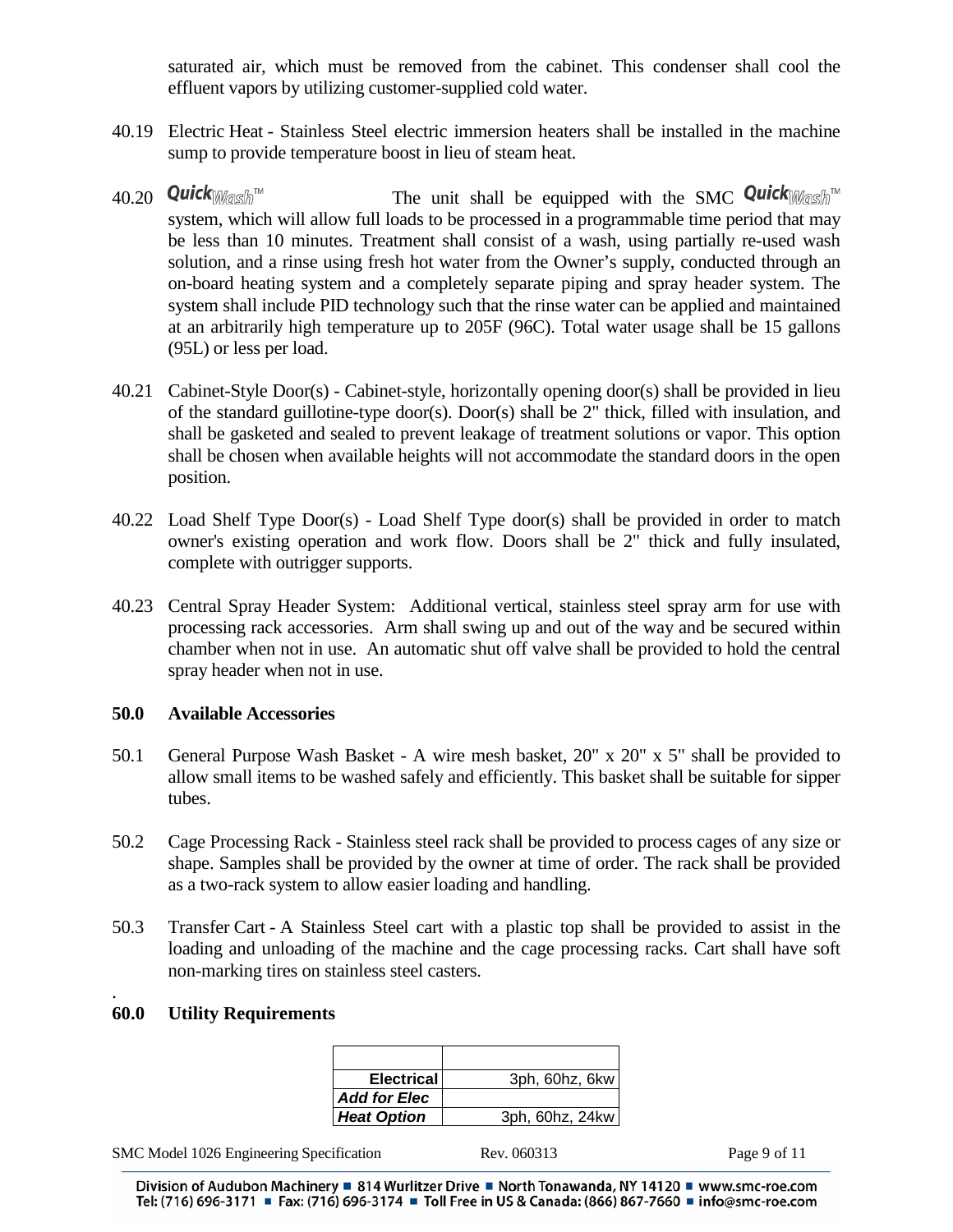saturated air, which must be removed from the cabinet. This condenser shall cool the effluent vapors by utilizing customer-supplied cold water.

- 40.19 Electric Heat Stainless Steel electric immersion heaters shall be installed in the machine sump to provide temperature boost in lieu of steam heat.
- 40.20 **Quick**  $W$  as  $\hat{M}$ <sup>M</sup> The unit shall be equipped with the SMC **Quick**  $W$  as  $\hat{M}$ <sup>M</sup> system, which will allow full loads to be processed in a programmable time period that may be less than 10 minutes. Treatment shall consist of a wash, using partially re-used wash solution, and a rinse using fresh hot water from the Owner's supply, conducted through an on-board heating system and a completely separate piping and spray header system. The system shall include PID technology such that the rinse water can be applied and maintained at an arbitrarily high temperature up to 205F (96C). Total water usage shall be 15 gallons (95L) or less per load.
- 40.21 Cabinet-Style Door(s) Cabinet-style, horizontally opening door(s) shall be provided in lieu of the standard guillotine-type door(s). Door(s) shall be 2" thick, filled with insulation, and shall be gasketed and sealed to prevent leakage of treatment solutions or vapor. This option shall be chosen when available heights will not accommodate the standard doors in the open position.
- 40.22 Load Shelf Type Door(s) Load Shelf Type door(s) shall be provided in order to match owner's existing operation and work flow. Doors shall be 2" thick and fully insulated, complete with outrigger supports.
- 40.23 Central Spray Header System: Additional vertical, stainless steel spray arm for use with processing rack accessories. Arm shall swing up and out of the way and be secured within chamber when not in use. An automatic shut off valve shall be provided to hold the central spray header when not in use.

#### **50.0 Available Accessories**

- 50.1 General Purpose Wash Basket A wire mesh basket, 20" x 20" x 5" shall be provided to allow small items to be washed safely and efficiently. This basket shall be suitable for sipper tubes.
- 50.2 Cage Processing Rack Stainless steel rack shall be provided to process cages of any size or shape. Samples shall be provided by the owner at time of order. The rack shall be provided as a two-rack system to allow easier loading and handling.
- 50.3 Transfer Cart A Stainless Steel cart with a plastic top shall be provided to assist in the loading and unloading of the machine and the cage processing racks. Cart shall have soft non-marking tires on stainless steel casters.

#### **60.0 Utility Requirements**

.

| <b>Electrical</b>   | 3ph, 60hz, 6kw  |
|---------------------|-----------------|
| <b>Add for Elec</b> |                 |
| <b>Heat Option</b>  | 3ph, 60hz, 24kw |

SMC Model 1026 Engineering Specification Rev. 060313 Page 9 of 11

Division of Audubon Machinery ■ 814 Wurlitzer Drive ■ North Tonawanda, NY 14120 ■ www.smc-roe.com Tel: (716) 696-3171 ■ Fax: (716) 696-3174 ■ Toll Free in US & Canada: (866) 867-7660 ■ info@smc-roe.com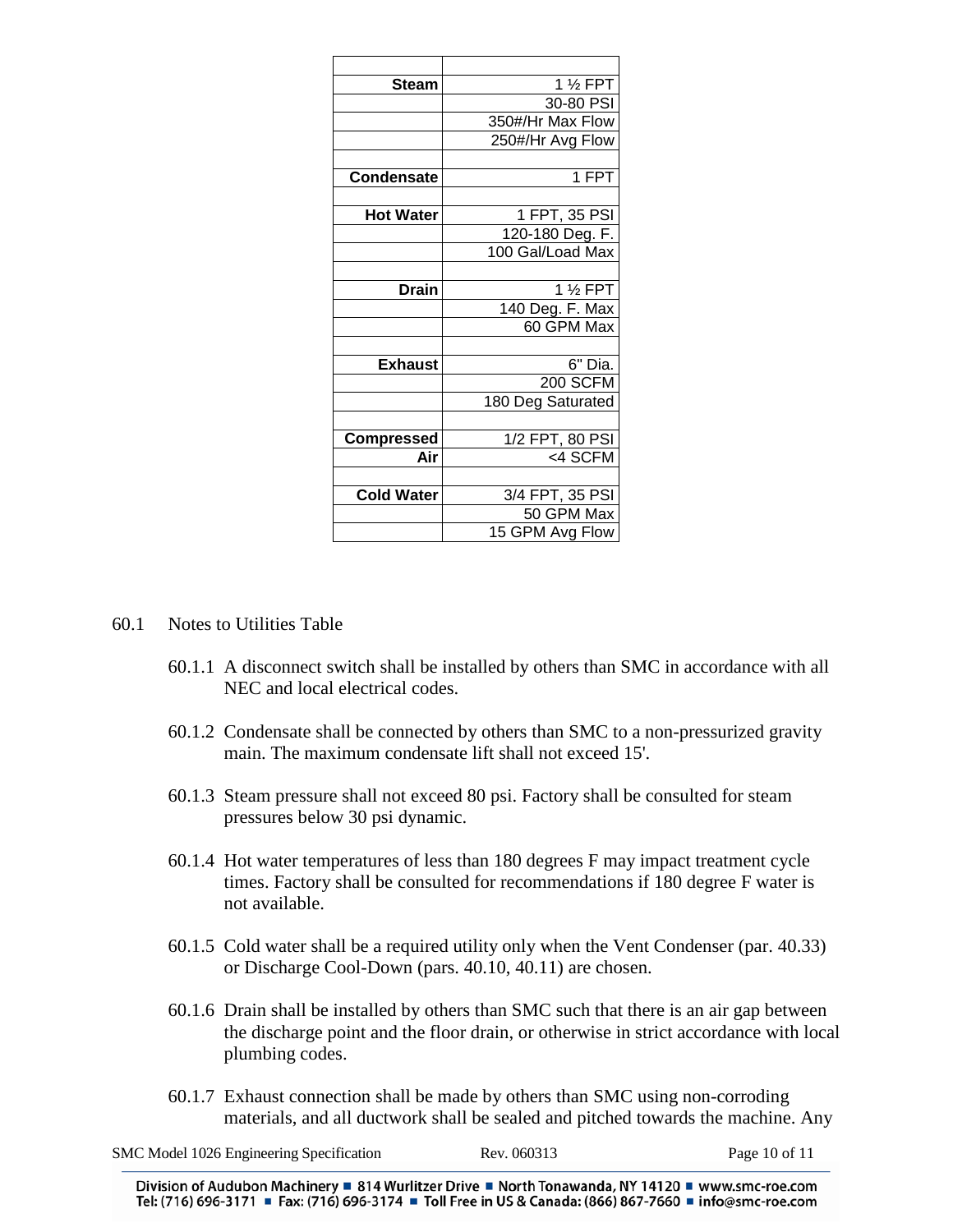| <b>Steam</b>      | 1 1/ <sub>2</sub> FPT |
|-------------------|-----------------------|
|                   | 30-80 PSI             |
|                   | 350#/Hr Max Flow      |
|                   | 250#/Hr Avg Flow      |
|                   |                       |
| <b>Condensate</b> | 1 FPT                 |
|                   |                       |
| <b>Hot Water</b>  | 1 FPT, 35 PSI         |
|                   | 120-180 Deg. F.       |
|                   | 100 Gal/Load Max      |
|                   |                       |
| <b>Drain</b>      | 1 1/ <sub>2</sub> FPT |
|                   | 140 Deg. F. Max       |
|                   | 60 GPM Max            |
|                   |                       |
| <b>Exhaust</b>    | 6" Dia.               |
|                   | $200$ SCFM            |
|                   | 180 Deg Saturated     |
|                   |                       |
| <b>Compressed</b> | 1/2 FPT, 80 PSI       |
| Air               | <4 SCFM               |
|                   |                       |
| <b>Cold Water</b> | 3/4 FPT, 35 PSI       |
|                   | 50 GPM Max            |
|                   | 15 GPM Avg Flow       |

- 60.1 Notes to Utilities Table
	- 60.1.1 A disconnect switch shall be installed by others than SMC in accordance with all NEC and local electrical codes.
	- 60.1.2 Condensate shall be connected by others than SMC to a non-pressurized gravity main. The maximum condensate lift shall not exceed 15'.
	- 60.1.3 Steam pressure shall not exceed 80 psi. Factory shall be consulted for steam pressures below 30 psi dynamic.
	- 60.1.4 Hot water temperatures of less than 180 degrees F may impact treatment cycle times. Factory shall be consulted for recommendations if 180 degree F water is not available.
	- 60.1.5 Cold water shall be a required utility only when the Vent Condenser (par. 40.33) or Discharge Cool-Down (pars. 40.10, 40.11) are chosen.
	- 60.1.6 Drain shall be installed by others than SMC such that there is an air gap between the discharge point and the floor drain, or otherwise in strict accordance with local plumbing codes.
	- 60.1.7 Exhaust connection shall be made by others than SMC using non-corroding materials, and all ductwork shall be sealed and pitched towards the machine. Any

SMC Model 1026 Engineering Specification Rev. 060313 Page 10 of 11

Division of Audubon Machinery ■ 814 Wurlitzer Drive ■ North Tonawanda, NY 14120 ■ www.smc-roe.com Tel: (716) 696-3171 ■ Fax: (716) 696-3174 ■ Toll Free in US & Canada: (866) 867-7660 ■ info@smc-roe.com